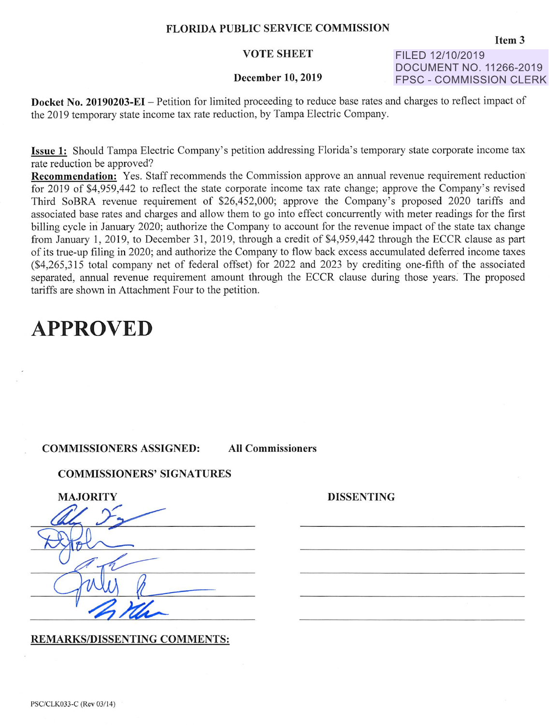## **FLORIDA PUBLIC SERVICE COMMISSION**

## **VOTE SHEET**

#### **December 10, 2019**

**FILED 12/10/2019 DOCUMENT NO. 11266-2019 FPSC - COMMISSION CLERK** 

**Docket No. 20190203-EI** – Petition for limited proceeding to reduce base rates and charges to reflect impact of the 2019 temporary state income tax rate reduction, by Tampa Electric Company.

**Issue 1:** Should Tampa Electric Company's petition addressing Florida's temporary state corporate income tax rate reduction be approved?

**Recommendation:** Yes. Staff recommends the Commission approve an annual revenue requirement reduction for 2019 of \$4,959,442 to reflect the state corporate income tax rate change; approve the Company's revised Third SoBRA revenue requirement of \$26,452,000; approve the Company's proposed 2020 tariffs and associated base rates and charges and allow them to go into effect concurrently with meter readings for the first billing cycle in January 2020; authorize the Company to account for the revenue impact of the state tax change from January 1, 2019, to December 31 , 2019, through a credit of \$4,959,442 through the ECCR clause as part of its true-up filing in 2020; and authorize the Company to flow back excess accumulated deferred income taxes (\$4,265,315 total company net of federal offset) for 2022 and 2023 by crediting one-fifth of the associated separated, annual revenue requirement amount through the ECCR clause during those years: The proposed tariffs are shown in Attachment Four to the petition.

# **APPROVED**

### **COMMISSIONERS ASSIGNED: All Commissioners**

**DISSENTING** 

### **COMMISSIONERS' SIGNATURES**

| <b>MAJORITY</b> |
|-----------------|
|                 |
|                 |
|                 |
|                 |
|                 |

**REMARKS/DISSENTING COMMENTS:** 

PSC/CLK033-C (Rev 03/14)